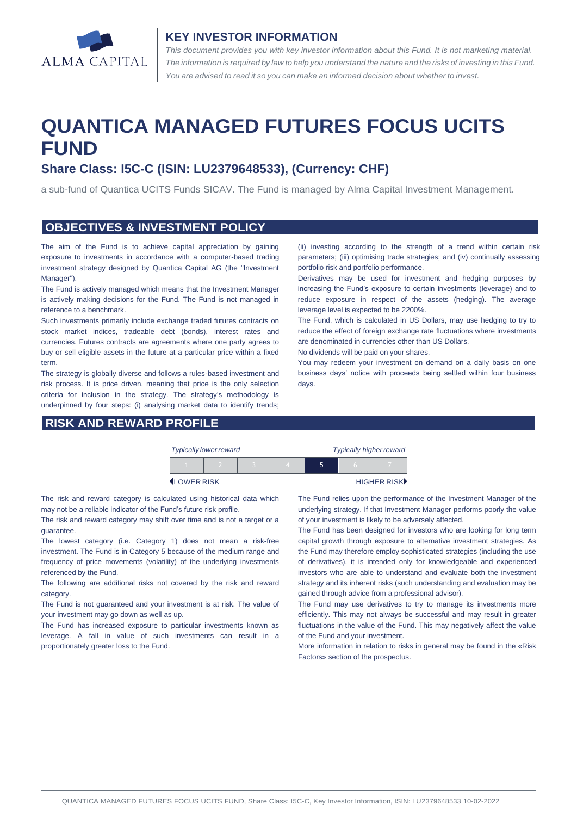

### **KEY INVESTOR INFORMATION**

*This document provides you with key investor information about this Fund. It is not marketing material.*  The information is required by law to help you understand the nature and the risks of investing in this Fund. *You are advised to read it so you can make an informed decision about whether to invest.*

# **QUANTICA MANAGED FUTURES FOCUS UCITS FUND**

# **Share Class: I5C-C (ISIN: LU2379648533), (Currency: CHF)**

a sub-fund of Quantica UCITS Funds SICAV. The Fund is managed by Alma Capital Investment Management.

### **OBJECTIVES & INVESTMENT POLICY**

The aim of the Fund is to achieve capital appreciation by gaining exposure to investments in accordance with a computer-based trading investment strategy designed by Quantica Capital AG (the "Investment Manager").

The Fund is actively managed which means that the Investment Manager is actively making decisions for the Fund. The Fund is not managed in reference to a benchmark.

Such investments primarily include exchange traded futures contracts on stock market indices, tradeable debt (bonds), interest rates and currencies. Futures contracts are agreements where one party agrees to buy or sell eligible assets in the future at a particular price within a fixed term.

The strategy is globally diverse and follows a rules-based investment and risk process. It is price driven, meaning that price is the only selection criteria for inclusion in the strategy. The strategy's methodology is underpinned by four steps: (i) analysing market data to identify trends;

## **RISK AND REWARD PROFILE**

(ii) investing according to the strength of a trend within certain risk parameters; (iii) optimising trade strategies; and (iv) continually assessing portfolio risk and portfolio performance.

Derivatives may be used for investment and hedging purposes by increasing the Fund's exposure to certain investments (leverage) and to reduce exposure in respect of the assets (hedging). The average leverage level is expected to be 2200%.

The Fund, which is calculated in US Dollars, may use hedging to try to reduce the effect of foreign exchange rate fluctuations where investments are denominated in currencies other than US Dollars.

No dividends will be paid on your shares.

You may redeem your investment on demand on a daily basis on one business days' notice with proceeds being settled within four business days.

| <b>Typically lower reward</b> |                    |  |  | <b>Typically higher reward</b> |  |  |             |
|-------------------------------|--------------------|--|--|--------------------------------|--|--|-------------|
|                               |                    |  |  |                                |  |  |             |
|                               | <b>ILOWER RISK</b> |  |  |                                |  |  | HIGHER RISK |

The risk and reward category is calculated using historical data which may not be a reliable indicator of the Fund's future risk profile.

The risk and reward category may shift over time and is not a target or a guarantee.

The lowest category (i.e. Category 1) does not mean a risk-free investment. The Fund is in Category 5 because of the medium range and frequency of price movements (volatility) of the underlying investments referenced by the Fund.

The following are additional risks not covered by the risk and reward category.

The Fund is not guaranteed and your investment is at risk. The value of your investment may go down as well as up.

The Fund has increased exposure to particular investments known as leverage. A fall in value of such investments can result in a proportionately greater loss to the Fund.

The Fund relies upon the performance of the Investment Manager of the underlying strategy. If that Investment Manager performs poorly the value of your investment is likely to be adversely affected.

The Fund has been designed for investors who are looking for long term capital growth through exposure to alternative investment strategies. As the Fund may therefore employ sophisticated strategies (including the use of derivatives), it is intended only for knowledgeable and experienced investors who are able to understand and evaluate both the investment strategy and its inherent risks (such understanding and evaluation may be gained through advice from a professional advisor).

The Fund may use derivatives to try to manage its investments more efficiently. This may not always be successful and may result in greater fluctuations in the value of the Fund. This may negatively affect the value of the Fund and your investment.

More information in relation to risks in general may be found in the «Risk Factors» section of the prospectus.